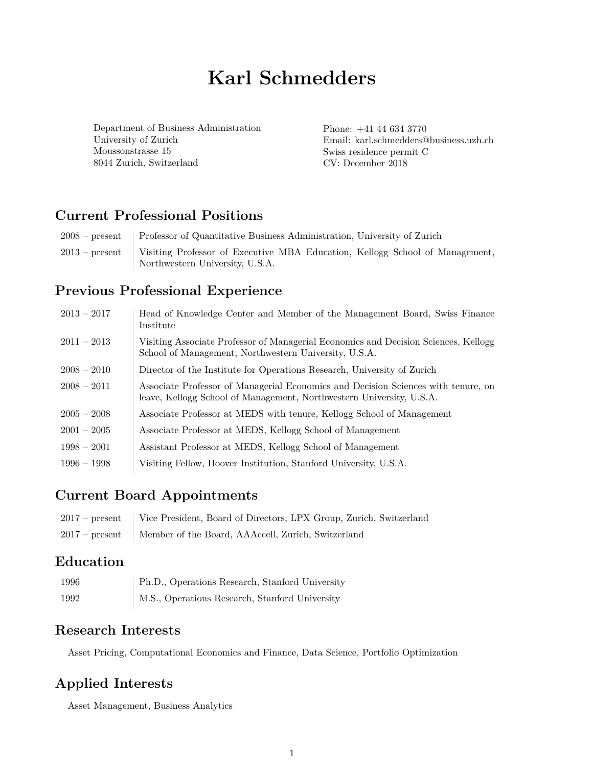# **Karl Schmedders**

Department of Business Administration University of Zurich Moussonstrasse 15 8044 Zurich, Switzerland

Phone: +41 44 634 3770 Email: karl.schmedders@business.uzh.ch Swiss residence permit C CV: December 2018

### **Current Professional Positions**

| $2008$ – present | Professor of Quantitative Business Administration, University of Zurich      |
|------------------|------------------------------------------------------------------------------|
| $2013$ – present | Visiting Professor of Executive MBA Education, Kellogg School of Management, |
|                  | Northwestern University, U.S.A.                                              |

#### **Previous Professional Experience**

| $2013 - 2017$ | Head of Knowledge Center and Member of the Management Board, Swiss Finance<br>Institute                                                                   |
|---------------|-----------------------------------------------------------------------------------------------------------------------------------------------------------|
| $2011 - 2013$ | Visiting Associate Professor of Managerial Economics and Decision Sciences, Kellogg<br>School of Management, Northwestern University, U.S.A.              |
| $2008 - 2010$ | Director of the Institute for Operations Research, University of Zurich                                                                                   |
| $2008 - 2011$ | Associate Professor of Managerial Economics and Decision Sciences with tenure, on<br>leave, Kellogg School of Management, Northwestern University, U.S.A. |
| $2005 - 2008$ | Associate Professor at MEDS with tenure, Kellogg School of Management                                                                                     |
| $2001 - 2005$ | Associate Professor at MEDS, Kellogg School of Management                                                                                                 |
| $1998 - 2001$ | Assistant Professor at MEDS, Kellogg School of Management                                                                                                 |
| $1996 - 1998$ | Visiting Fellow, Hoover Institution, Stanford University, U.S.A.                                                                                          |

#### **Current Board Appointments**

| 2017 – present Vice President, Board of Directors, LPX Group, Zurich, Switzerland |
|-----------------------------------------------------------------------------------|
| 2017 – present Member of the Board, AAAccell, Zurich, Switzerland                 |

### **Education**

| 1996 | Ph.D., Operations Research, Stanford University |
|------|-------------------------------------------------|
| 1992 | M.S., Operations Research, Stanford University  |

#### **Research Interests**

Asset Pricing, Computational Economics and Finance, Data Science, Portfolio Optimization

#### **Applied Interests**

Asset Management, Business Analytics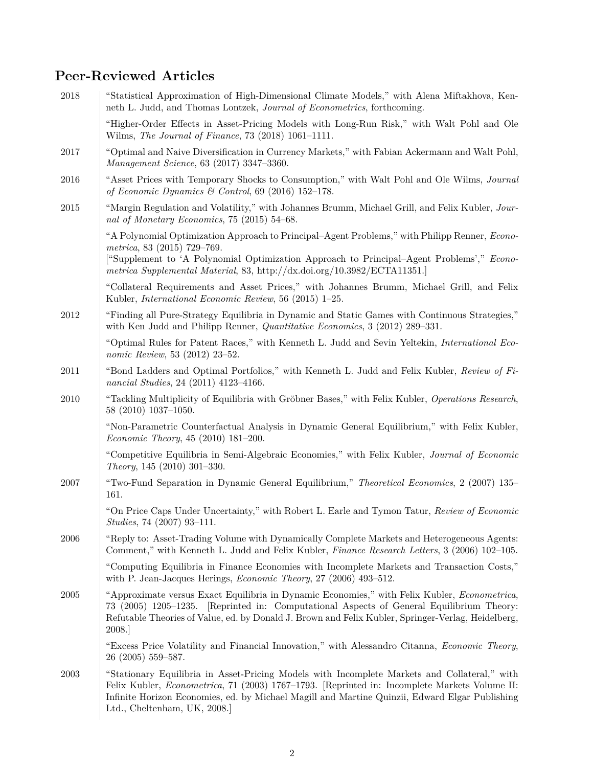## **Peer-Reviewed Articles**

| 2018 | "Statistical Approximation of High-Dimensional Climate Models," with Alena Miftakhova, Ken-<br>neth L. Judd, and Thomas Lontzek, Journal of Econometrics, forthcoming.                                                                                                                                                                 |
|------|----------------------------------------------------------------------------------------------------------------------------------------------------------------------------------------------------------------------------------------------------------------------------------------------------------------------------------------|
|      | "Higher-Order Effects in Asset-Pricing Models with Long-Run Risk," with Walt Pohl and Ole<br>Wilms, The Journal of Finance, 73 (2018) 1061-1111.                                                                                                                                                                                       |
| 2017 | "Optimal and Naive Diversification in Currency Markets," with Fabian Ackermann and Walt Pohl,<br>Management Science, 63 (2017) 3347-3360.                                                                                                                                                                                              |
| 2016 | "Asset Prices with Temporary Shocks to Consumption," with Walt Pohl and Ole Wilms, Journal<br>of Economic Dynamics & Control, 69 (2016) 152-178.                                                                                                                                                                                       |
| 2015 | "Margin Regulation and Volatility," with Johannes Brumm, Michael Grill, and Felix Kubler, Jour-<br>nal of Monetary Economics, 75 (2015) 54-68.                                                                                                                                                                                         |
|      | "A Polynomial Optimization Approach to Principal–Agent Problems," with Philipp Renner, <i>Econo-</i><br>metrica, 83 (2015) 729-769.<br>["Supplement to 'A Polynomial Optimization Approach to Principal-Agent Problems'," Econo-<br>metrica Supplemental Material, 83, http://dx.doi.org/10.3982/ECTA11351.                            |
|      | "Collateral Requirements and Asset Prices," with Johannes Brumm, Michael Grill, and Felix<br>Kubler, <i>International Economic Review</i> , 56 (2015) 1-25.                                                                                                                                                                            |
| 2012 | "Finding all Pure-Strategy Equilibria in Dynamic and Static Games with Continuous Strategies,"<br>with Ken Judd and Philipp Renner, Quantitative Economics, 3 (2012) 289-331.                                                                                                                                                          |
|      | "Optimal Rules for Patent Races," with Kenneth L. Judd and Sevin Yeltekin, International Eco-<br>nomic Review, 53 (2012) 23-52.                                                                                                                                                                                                        |
| 2011 | "Bond Ladders and Optimal Portfolios," with Kenneth L. Judd and Felix Kubler, Review of Fi-<br>nancial Studies, 24 (2011) 4123-4166.                                                                                                                                                                                                   |
| 2010 | "Tackling Multiplicity of Equilibria with Gröbner Bases," with Felix Kubler, Operations Research,<br>58 (2010) 1037-1050.                                                                                                                                                                                                              |
|      | "Non-Parametric Counterfactual Analysis in Dynamic General Equilibrium," with Felix Kubler,<br><i>Economic Theory</i> , 45 (2010) 181-200.                                                                                                                                                                                             |
|      | "Competitive Equilibria in Semi-Algebraic Economies," with Felix Kubler, Journal of Economic<br>Theory, 145 $(2010)$ 301-330.                                                                                                                                                                                                          |
| 2007 | "Two-Fund Separation in Dynamic General Equilibrium," Theoretical Economics, 2 (2007) 135–<br>161.                                                                                                                                                                                                                                     |
|      | "On Price Caps Under Uncertainty," with Robert L. Earle and Tymon Tatur, Review of Economic<br>Studies, 74 (2007) 93-111.                                                                                                                                                                                                              |
| 2006 | "Reply to: Asset-Trading Volume with Dynamically Complete Markets and Heterogeneous Agents:<br>Comment," with Kenneth L. Judd and Felix Kubler, Finance Research Letters, 3 (2006) 102-105.                                                                                                                                            |
|      | "Computing Equilibria in Finance Economies with Incomplete Markets and Transaction Costs,"<br>with P. Jean-Jacques Herings, <i>Economic Theory</i> , $27$ (2006) 493-512.                                                                                                                                                              |
| 2005 | "Approximate versus Exact Equilibria in Dynamic Economies," with Felix Kubler, <i>Econometrica</i> ,<br>73 (2005) 1205–1235. [Reprinted in: Computational Aspects of General Equilibrium Theory:<br>Refutable Theories of Value, ed. by Donald J. Brown and Felix Kubler, Springer-Verlag, Heidelberg,<br>2008.                        |
|      | "Excess Price Volatility and Financial Innovation," with Alessandro Citanna, <i>Economic Theory</i> ,<br>26 (2005) 559-587.                                                                                                                                                                                                            |
| 2003 | "Stationary Equilibria in Asset-Pricing Models with Incomplete Markets and Collateral," with<br>Felix Kubler, <i>Econometrica</i> , 71 (2003) 1767–1793. [Reprinted in: Incomplete Markets Volume II:<br>Infinite Horizon Economies, ed. by Michael Magill and Martine Quinzii, Edward Elgar Publishing<br>Ltd., Cheltenham, UK, 2008. |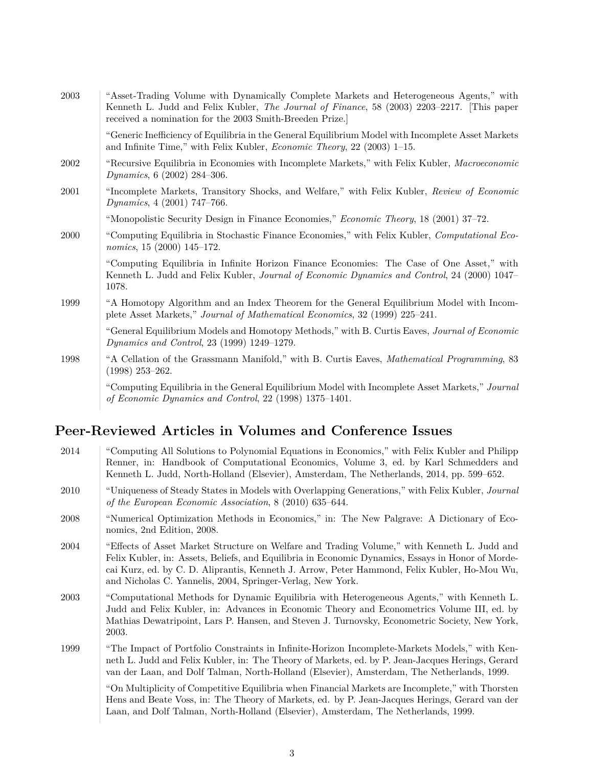| 2003 | "Asset-Trading Volume with Dynamically Complete Markets and Heterogeneous Agents," with<br>Kenneth L. Judd and Felix Kubler, <i>The Journal of Finance</i> , 58 (2003) 2203-2217. [This paper<br>received a nomination for the 2003 Smith-Breeden Prize. |
|------|----------------------------------------------------------------------------------------------------------------------------------------------------------------------------------------------------------------------------------------------------------|
|      | "Generic Inefficiency of Equilibria in the General Equilibrium Model with Incomplete Asset Markets<br>and Infinite Time," with Felix Kubler, <i>Economic Theory</i> , 22 (2003) 1-15.                                                                    |
| 2002 | "Recursive Equilibria in Economies with Incomplete Markets," with Felix Kubler, Macroeconomic<br><i>Dynamics</i> , 6 (2002) 284-306.                                                                                                                     |
| 2001 | "Incomplete Markets, Transitory Shocks, and Welfare," with Felix Kubler, Review of Economic<br><i>Dynamics</i> , 4 (2001) 747-766.                                                                                                                       |
|      | "Monopolistic Security Design in Finance Economies," <i>Economic Theory</i> , 18 (2001) 37–72.                                                                                                                                                           |
| 2000 | "Computing Equilibria in Stochastic Finance Economies," with Felix Kubler, Computational Eco-<br>nomics, 15 (2000) 145-172.                                                                                                                              |
|      | "Computing Equilibria in Infinite Horizon Finance Economies: The Case of One Asset," with<br>Kenneth L. Judd and Felix Kubler, <i>Journal of Economic Dynamics and Control</i> , 24 (2000) 1047–<br>1078.                                                |
| 1999 | "A Homotopy Algorithm and an Index Theorem for the General Equilibrium Model with Incom-<br>plete Asset Markets," Journal of Mathematical Economics, 32 (1999) 225–241.                                                                                  |
|      | "General Equilibrium Models and Homotopy Methods," with B. Curtis Eaves, Journal of Economic<br><i>Dynamics and Control</i> , 23 (1999) 1249–1279.                                                                                                       |
| 1998 | "A Cellation of the Grassmann Manifold," with B. Curtis Eaves, Mathematical Programming, 83<br>$(1998)$ 253-262.                                                                                                                                         |
|      | "Computing Equilibria in the General Equilibrium Model with Incomplete Asset Markets," Journal<br>of Economic Dynamics and Control, 22 (1998) 1375-1401.                                                                                                 |

## **Peer-Reviewed Articles in Volumes and Conference Issues**

| 2014 | "Computing All Solutions to Polynomial Equations in Economics," with Felix Kubler and Philipp<br>Renner, in: Handbook of Computational Economics, Volume 3, ed. by Karl Schmedders and<br>Kenneth L. Judd, North-Holland (Elsevier), Amsterdam, The Netherlands, 2014, pp. 599–652.                                                                            |
|------|----------------------------------------------------------------------------------------------------------------------------------------------------------------------------------------------------------------------------------------------------------------------------------------------------------------------------------------------------------------|
| 2010 | "Uniqueness of Steady States in Models with Overlapping Generations," with Felix Kubler, Journal<br>of the European Economic Association, 8 (2010) 635–644.                                                                                                                                                                                                    |
| 2008 | "Numerical Optimization Methods in Economics," in: The New Palgrave: A Dictionary of Eco-<br>nomics, 2nd Edition, 2008.                                                                                                                                                                                                                                        |
| 2004 | "Effects of Asset Market Structure on Welfare and Trading Volume," with Kenneth L. Judd and<br>Felix Kubler, in: Assets, Beliefs, and Equilibria in Economic Dynamics, Essays in Honor of Morde-<br>cai Kurz, ed. by C. D. Aliprantis, Kenneth J. Arrow, Peter Hammond, Felix Kubler, Ho-Mou Wu,<br>and Nicholas C. Yannelis, 2004, Springer-Verlag, New York. |
| 2003 | "Computational Methods for Dynamic Equilibria with Heterogeneous Agents," with Kenneth L.<br>Judd and Felix Kubler, in: Advances in Economic Theory and Econometrics Volume III, ed. by<br>Mathias Dewatripoint, Lars P. Hansen, and Steven J. Turnovsky, Econometric Society, New York,<br>2003.                                                              |
| 1999 | "The Impact of Portfolio Constraints in Infinite-Horizon Incomplete-Markets Models," with Ken-<br>neth L. Judd and Felix Kubler, in: The Theory of Markets, ed. by P. Jean-Jacques Herings, Gerard<br>van der Laan, and Dolf Talman, North-Holland (Elsevier), Amsterdam, The Netherlands, 1999.                                                               |
|      | "On Multiplicity of Competitive Equilibria when Financial Markets are Incomplete," with Thorsten<br>Hens and Beate Voss, in: The Theory of Markets, ed. by P. Jean-Jacques Herings, Gerard van der<br>Laan, and Dolf Talman, North-Holland (Elsevier), Amsterdam, The Netherlands, 1999.                                                                       |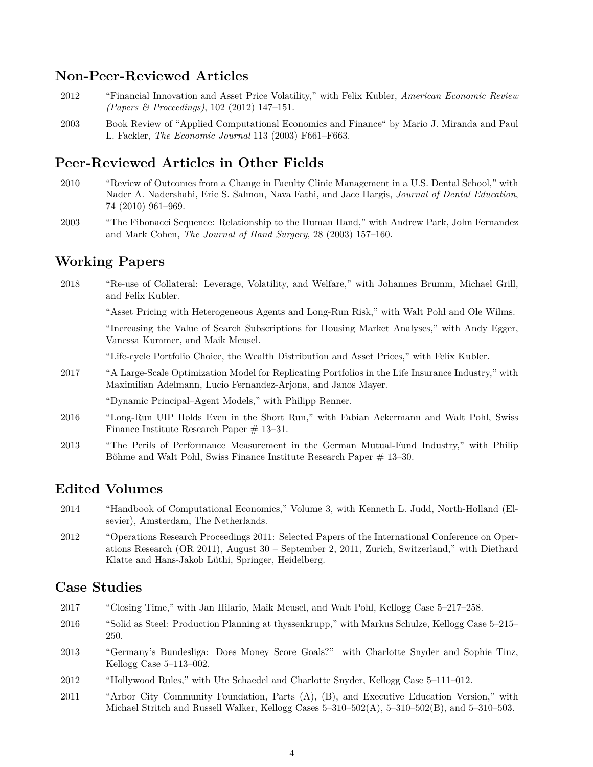#### **Non-Peer-Reviewed Articles**

- 2012 "Financial Innovation and Asset Price Volatility," with Felix Kubler, *American Economic Review (Papers & Proceedings)*, 102 (2012) 147–151.
- 2003 Book Review of "Applied Computational Economics and Finance" by Mario J. Miranda and Paul L. Fackler, *The Economic Journal* 113 (2003) F661–F663.

#### **Peer-Reviewed Articles in Other Fields**

- 2010 "Review of Outcomes from a Change in Faculty Clinic Management in a U.S. Dental School," with Nader A. Nadershahi, Eric S. Salmon, Nava Fathi, and Jace Hargis, *Journal of Dental Education*, 74 (2010) 961–969.
- 2003 "The Fibonacci Sequence: Relationship to the Human Hand," with Andrew Park, John Fernandez and Mark Cohen, *The Journal of Hand Surgery*, 28 (2003) 157–160.

#### **Working Papers**

| 2018 | "Re-use of Collateral: Leverage, Volatility, and Welfare," with Johannes Brumm, Michael Grill,<br>and Felix Kubler.                                                 |
|------|---------------------------------------------------------------------------------------------------------------------------------------------------------------------|
|      | "Asset Pricing with Heterogeneous Agents and Long-Run Risk," with Walt Pohl and Ole Wilms.                                                                          |
|      | "Increasing the Value of Search Subscriptions for Housing Market Analyses," with Andy Egger,<br>Vanessa Kummer, and Maik Meusel.                                    |
|      | "Life-cycle Portfolio Choice, the Wealth Distribution and Asset Prices," with Felix Kubler.                                                                         |
| 2017 | "A Large-Scale Optimization Model for Replicating Portfolios in the Life Insurance Industry," with<br>Maximilian Adelmann, Lucio Fernandez-Arjona, and Janos Mayer. |
|      | "Dynamic Principal-Agent Models," with Philipp Renner.                                                                                                              |
| 2016 | "Long-Run UIP Holds Even in the Short Run," with Fabian Ackermann and Walt Pohl, Swiss<br>Finance Institute Research Paper $\#$ 13-31.                              |
| 2013 | "The Perils of Performance Measurement in the German Mutual-Fund Industry," with Philip<br>Böhme and Walt Pohl, Swiss Finance Institute Research Paper $\#$ 13–30.  |

#### **Edited Volumes**

- 2014 "Handbook of Computational Economics," Volume 3, with Kenneth L. Judd, North-Holland (Elsevier), Amsterdam, The Netherlands.
- 2012 "Operations Research Proceedings 2011: Selected Papers of the International Conference on Operations Research (OR 2011), August 30 – September 2, 2011, Zurich, Switzerland," with Diethard Klatte and Hans-Jakob Lüthi, Springer, Heidelberg.

#### **Case Studies**

 "Closing Time," with Jan Hilario, Maik Meusel, and Walt Pohl, Kellogg Case 5–217–258. "Solid as Steel: Production Planning at thyssenkrupp," with Markus Schulze, Kellogg Case 5–215– 250. "Germany's Bundesliga: Does Money Score Goals?" with Charlotte Snyder and Sophie Tinz, Kellogg Case 5–113–002. "Hollywood Rules," with Ute Schaedel and Charlotte Snyder, Kellogg Case 5–111–012. "Arbor City Community Foundation, Parts (A), (B), and Executive Education Version," with Michael Stritch and Russell Walker, Kellogg Cases 5–310–502(A), 5–310–502(B), and 5–310–503.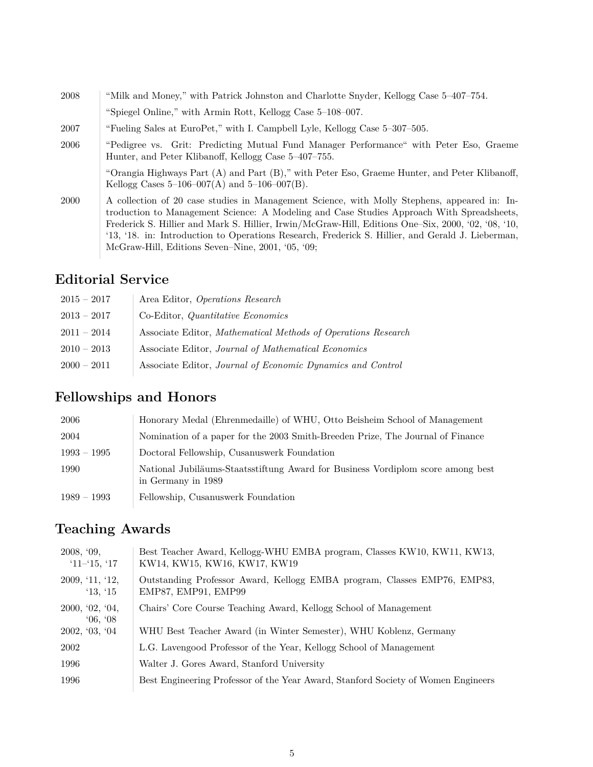| 2008 | "Milk and Money," with Patrick Johnston and Charlotte Snyder, Kellogg Case 5-407-754.                                                                                                                                                                                                                                                                                                                                                                      |
|------|------------------------------------------------------------------------------------------------------------------------------------------------------------------------------------------------------------------------------------------------------------------------------------------------------------------------------------------------------------------------------------------------------------------------------------------------------------|
|      | "Spiegel Online," with Armin Rott, Kellogg Case 5-108-007.                                                                                                                                                                                                                                                                                                                                                                                                 |
| 2007 | "Fueling Sales at EuroPet," with I. Campbell Lyle, Kellogg Case 5-307-505.                                                                                                                                                                                                                                                                                                                                                                                 |
| 2006 | "Pedigree vs. Grit: Predicting Mutual Fund Manager Performance" with Peter Eso, Graeme<br>Hunter, and Peter Klibanoff, Kellogg Case 5-407-755.                                                                                                                                                                                                                                                                                                             |
|      | "Orangia Highways Part (A) and Part (B)," with Peter Eso, Graeme Hunter, and Peter Klibanoff,<br>Kellogg Cases $5-106-007(A)$ and $5-106-007(B)$ .                                                                                                                                                                                                                                                                                                         |
| 2000 | A collection of 20 case studies in Management Science, with Molly Stephens, appeared in: In-<br>troduction to Management Science: A Modeling and Case Studies Approach With Spreadsheets,<br>Frederick S. Hillier and Mark S. Hillier, Irwin/McGraw-Hill, Editions One–Six, 2000, '02, '08, '10,<br>'13, '18. in: Introduction to Operations Research, Frederick S. Hillier, and Gerald J. Lieberman,<br>McGraw-Hill, Editions Seven-Nine, 2001, '05, '09; |

### **Editorial Service**

| $2015 - 2017$ | Area Editor, Operations Research                              |
|---------------|---------------------------------------------------------------|
| $2013 - 2017$ | Co-Editor, <i>Quantitative Economics</i>                      |
| $2011 - 2014$ | Associate Editor, Mathematical Methods of Operations Research |
| $2010 - 2013$ | Associate Editor, <i>Journal of Mathematical Economics</i>    |
| $2000 - 2011$ | Associate Editor, Journal of Economic Dynamics and Control    |

## **Fellowships and Honors**

| 2006          | Honorary Medal (Ehrenmedaille) of WHU, Otto Beisheim School of Management                             |
|---------------|-------------------------------------------------------------------------------------------------------|
| 2004          | Nomination of a paper for the 2003 Smith-Breeden Prize, The Journal of Finance                        |
| $1993 - 1995$ | Doctoral Fellowship, Cusanuswerk Foundation                                                           |
| 1990          | National Jubiläums-Staatsstiftung Award for Business Vordiplom score among best<br>in Germany in 1989 |
| $1989 - 1993$ | Fellowship, Cusanuswerk Foundation                                                                    |

## **Teaching Awards**

| 2008, '09,<br>$'11-15, '17$ | Best Teacher Award, Kellogg-WHU EMBA program, Classes KW10, KW11, KW13,<br>KW14, KW15, KW16, KW17, KW19 |
|-----------------------------|---------------------------------------------------------------------------------------------------------|
| 2009, '11, '12,<br>13, 15   | Outstanding Professor Award, Kellogg EMBA program, Classes EMP76, EMP83,<br>EMP87, EMP91, EMP99         |
| 2000, '02, '04,<br>06, 08   | Chairs' Core Course Teaching Award, Kellogg School of Management                                        |
| 2002, '03, '04              | WHU Best Teacher Award (in Winter Semester), WHU Koblenz, Germany                                       |
| 2002                        | L.G. Lavengood Professor of the Year, Kellogg School of Management                                      |
| 1996                        | Walter J. Gores Award, Stanford University                                                              |
| 1996                        | Best Engineering Professor of the Year Award, Stanford Society of Women Engineers                       |